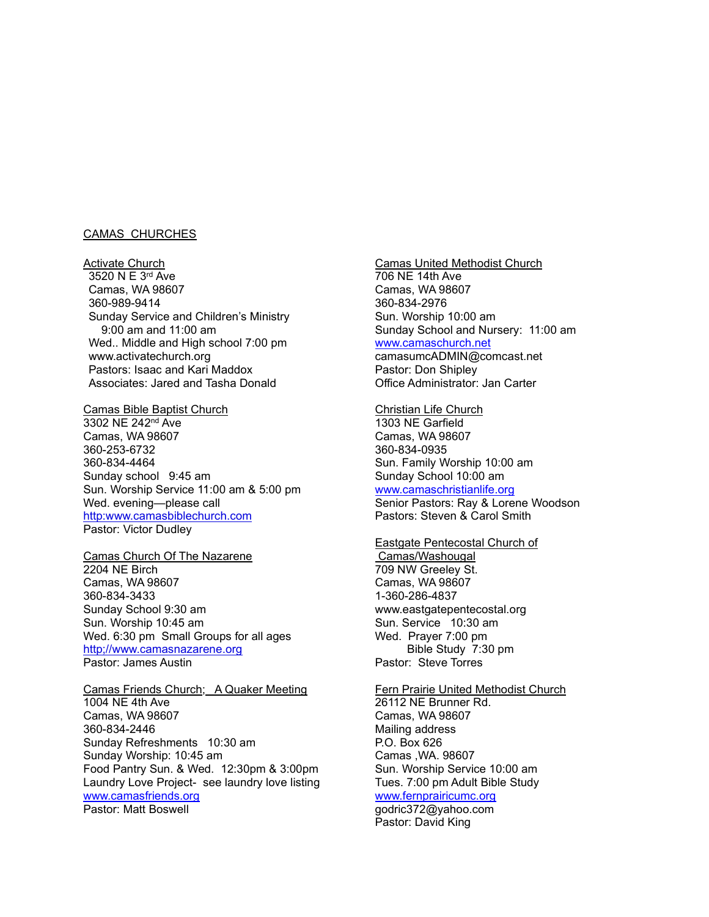#### CAMAS CHURCHES

Activate Church 3520 N E 3rd Ave Camas, WA 98607 360-989-9414 Sunday Service and Children's Ministry 9:00 am and 11:00 am Wed.. Middle and High school 7:00 pm www.activatechurch.org Pastors: Isaac and Kari Maddox Associates: Jared and Tasha Donald

#### Camas Bible Baptist Church

3302 NE 242nd Ave Camas, WA 98607 360-253-6732 360-834-4464 Sunday school 9:45 am Sun. Worship Service 11:00 am & 5:00 pm Wed. evening—please call http:www.camasbiblechurch.com Pastor: Victor Dudley

### Camas Church Of The Nazarene 2204 NE Birch Camas, WA 98607 360-834-3433 Sunday School 9:30 am Sun. Worship 10:45 am Wed. 6:30 pm Small Groups for all ages

http;//www.camasnazarene.org Pastor: James Austin

### Camas Friends Church; A Quaker Meeting 1004 NE 4th Ave Camas, WA 98607 360-834-2446 Sunday Refreshments 10:30 am Sunday Worship: 10:45 am Food Pantry Sun. & Wed. 12:30pm & 3:00pm Laundry Love Project- see laundry love listing www.camasfriends.org Pastor: Matt Boswell

### Camas United Methodist Church

706 NE 14th Ave Camas, WA 98607 360-834-2976 Sun. Worship 10:00 am Sunday School and Nursery: 11:00 am

### www.camaschurch.net

camasumcADMIN@comcast.net Pastor: Don Shipley Office Administrator: Jan Carter

#### Christian Life Church

1303 NE Garfield Camas, WA 98607 360-834-0935 Sun. Family Worship 10:00 am Sunday School 10:00 am

[www.camaschristianlife.org](http://www.camaschristianlife.org/)

Senior Pastors: Ray & Lorene Woodson Pastors: Steven & Carol Smith

#### Eastgate Pentecostal Church of

Camas/Washougal 709 NW Greeley St. Camas, WA 98607 1-360-286-4837 www.eastgatepentecostal.org Sun. Service 10:30 am Wed. Prayer 7:00 pm Bible Study 7:30 pm Pastor: Steve Torres

# Fern Prairie United Methodist Church 26112 NE Brunner Rd. Camas, WA 98607

Mailing address P.O. Box 626 Camas ,WA. 98607 Sun. Worship Service 10:00 am Tues. 7:00 pm Adult Bible Study [www.fernprairicumc.org](http://www.fernprairicumc.org/) godric372@yahoo.com

Pastor: David King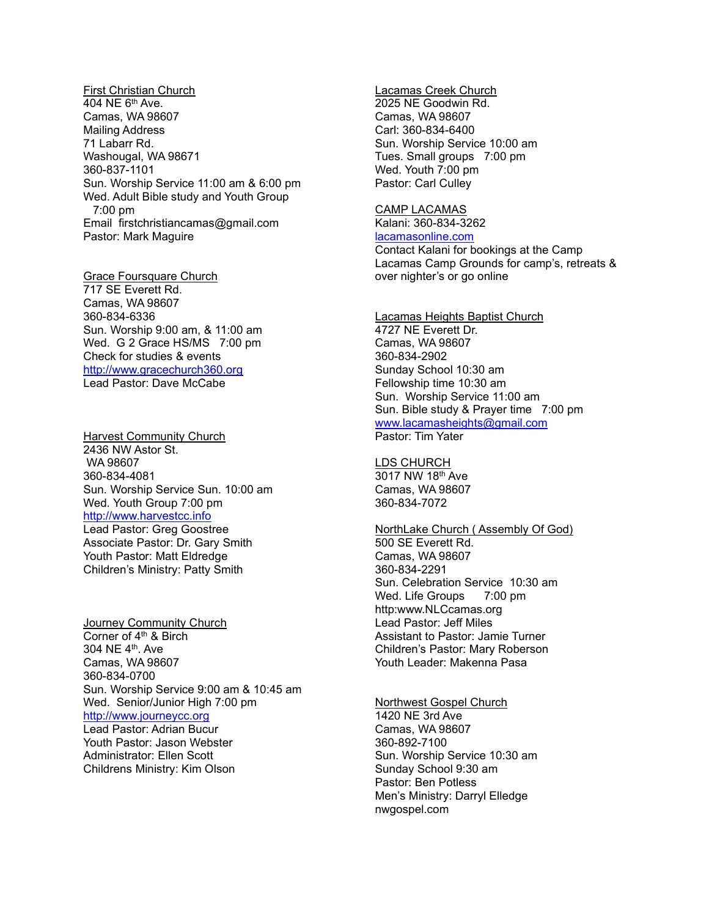First Christian Church 404 NE 6th Ave. Camas, WA 98607 Mailing Address 71 Labarr Rd. Washougal, WA 98671 360-837-1101 Sun. Worship Service 11:00 am & 6:00 pm Wed. Adult Bible study and Youth Group 7:00 pm Email firstchristiancamas@gmail.com Pastor: Mark Maguire

Grace Foursquare Church 717 SE Everett Rd. Camas, WA 98607 360-834-6336 Sun. Worship 9:00 am, & 11:00 am Wed. G 2 Grace HS/MS 7:00 pm Check for studies & events http://www.gracechurch360.org Lead Pastor: Dave McCabe

Harvest Community Church 2436 NW Astor St. WA 98607 360-834-4081 Sun. Worship Service Sun. 10:00 am Wed. Youth Group 7:00 pm http://www.harvestcc.info Lead Pastor: Greg Goostree Associate Pastor: Dr. Gary Smith Youth Pastor: Matt Eldredge Children's Ministry: Patty Smith

Journey Community Church Corner of  $4<sup>th</sup>$  & Birch 304 NE 4th. Ave Camas, WA 98607 360-834-0700 Sun. Worship Service 9:00 am & 10:45 am Wed. Senior/Junior High 7:00 pm http://www.journeycc.org Lead Pastor: Adrian Bucur Youth Pastor: Jason Webster Administrator: Ellen Scott Childrens Ministry: Kim Olson

Lacamas Creek Church 2025 NE Goodwin Rd. Camas, WA 98607 Carl: 360-834-6400 Sun. Worship Service 10:00 am Tues. Small groups 7:00 pm Wed. Youth 7:00 pm Pastor: Carl Culley

CAMP LACAMAS Kalani: 360-834-3262 lacamasonline.com

Contact Kalani for bookings at the Camp Lacamas Camp Grounds for camp's, retreats & over nighter's or go online

Lacamas Heights Baptist Church 4727 NE Everett Dr. Camas, WA 98607 360-834-2902 Sunday School 10:30 am Fellowship time 10:30 am Sun. Worship Service 11:00 am Sun. Bible study & Prayer time 7:00 pm www.lacamasheights@gmail.com Pastor: Tim Yater

LDS CHURCH 3017 NW 18th Ave Camas, WA 98607 360-834-7072

NorthLake Church ( Assembly Of God) 500 SE Everett Rd. Camas, WA 98607 360-834-2291 Sun. Celebration Service 10:30 am Wed. Life Groups 7:00 pm http:www.NLCcamas.org Lead Pastor: Jeff Miles Assistant to Pastor: Jamie Turner Children's Pastor: Mary Roberson Youth Leader: Makenna Pasa

Northwest Gospel Church 1420 NE 3rd Ave Camas, WA 98607 360-892-7100 Sun. Worship Service 10:30 am Sunday School 9:30 am Pastor: Ben Potless Men's Ministry: Darryl Elledge nwgospel.com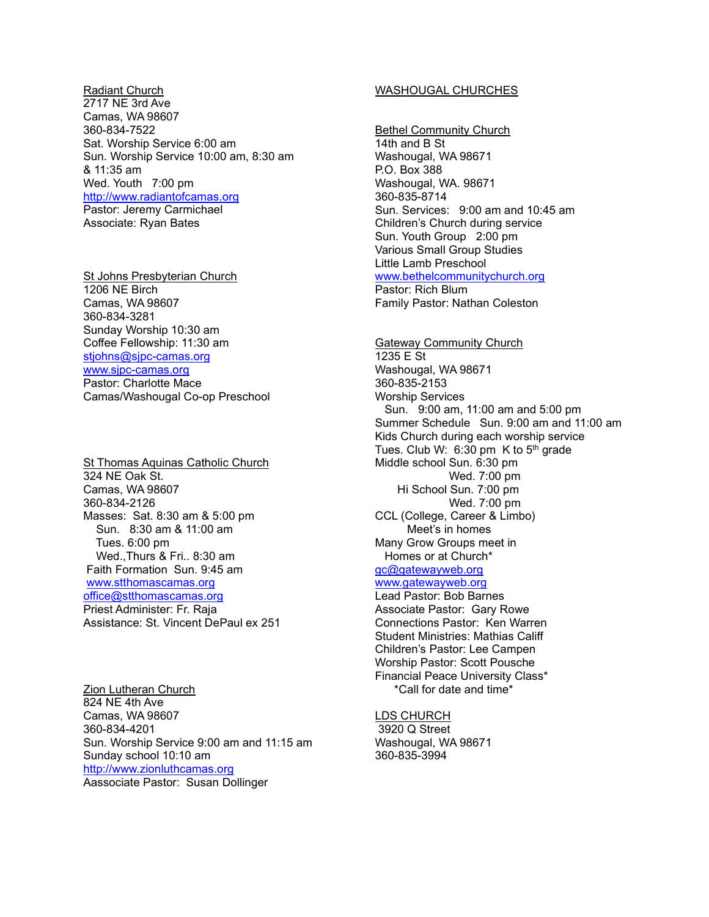Radiant Church 2717 NE 3rd Ave Camas, WA 98607 360-834-7522 Sat. Worship Service 6:00 am Sun. Worship Service 10:00 am, 8:30 am & 11:35 am Wed. Youth 7:00 pm [http://www.radiantofcamas.org](http://www.radiantofcamas.org/) Pastor: Jeremy Carmichael Associate: Ryan Bates

St Johns Presbyterian Church 1206 NE Birch Camas, WA 98607 360-834-3281 Sunday Worship 10:30 am Coffee Fellowship: 11:30 am [stjohns@sjpc-camas.org](mailto:stjohns@sjpc-camas.org) www.sjpc-camas.org Pastor: Charlotte Mace Camas/Washougal Co-op Preschool

St Thomas Aquinas Catholic Church 324 NE Oak St. Camas, WA 98607 360-834-2126 Masses: Sat. 8:30 am & 5:00 pm Sun. 8:30 am & 11:00 am Tues. 6:00 pm Wed.,Thurs & Fri.. 8:30 am Faith Formation Sun. 9:45 am www.stthomascamas.org office@stthomascamas.org Priest Administer: Fr. Raja Assistance: St. Vincent DePaul ex 251

Zion Lutheran Church 824 NE 4th Ave Camas, WA 98607 360-834-4201 Sun. Worship Service 9:00 am and 11:15 am Sunday school 10:10 am http://www.zionluthcamas.org Aassociate Pastor: Susan Dollinger

### WASHOUGAL CHURCHES

Bethel Community Church 14th and B St Washougal, WA 98671 P.O. Box 388 Washougal, WA. 98671 360-835-8714 Sun. Services: 9:00 am and 10:45 am Children's Church during service Sun. Youth Group 2:00 pm Various Small Group Studies Little Lamb Preschool www.bethelcommunitychurch.org Pastor: Rich Blum

Family Pastor: Nathan Coleston

Gateway Community Church 1235 E St Washougal, WA 98671 360-835-2153 Worship Services Sun. 9:00 am, 11:00 am and 5:00 pm Summer Schedule Sun. 9:00 am and 11:00 am Kids Church during each worship service Tues. Club W:  $6:30$  pm K to  $5<sup>th</sup>$  grade Middle school Sun. 6:30 pm Wed. 7:00 pm Hi School Sun. 7:00 pm Wed. 7:00 pm CCL (College, Career & Limbo) Meet's in homes Many Grow Groups meet in Homes or at Church\* gc@gatewayweb.org [www.gatewayweb.org](http://www.gatewayweb.org/) Lead Pastor: Bob Barnes Associate Pastor: Gary Rowe Connections Pastor: Ken Warren Student Ministries: Mathias Califf Children's Pastor: Lee Campen Worship Pastor: Scott Pousche Financial Peace University Class\* \*Call for date and time\*

LDS CHURCH 3920 Q Street Washougal, WA 98671 360-835-3994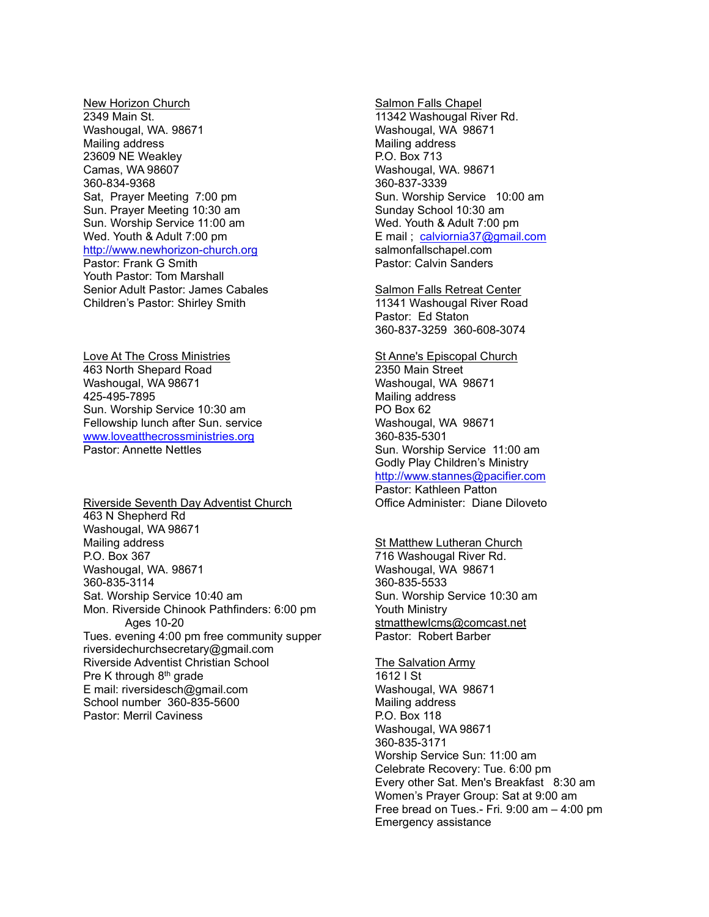New Horizon Church 2349 Main St. Washougal, WA. 98671 Mailing address 23609 NE Weakley Camas, WA 98607 360-834-9368 Sat, Prayer Meeting 7:00 pm Sun. Prayer Meeting 10:30 am Sun. Worship Service 11:00 am Wed. Youth & Adult 7:00 pm http://www.newhorizon-church.org Pastor: Frank G Smith Youth Pastor: Tom Marshall Senior Adult Pastor: James Cabales Children's Pastor: Shirley Smith

Love At The Cross Ministries 463 North Shepard Road Washougal, WA 98671 425-495-7895 Sun. Worship Service 10:30 am Fellowship lunch after Sun. service [www.loveatthecrossministries.org](http://www.loveatthecrossministries.org/) Pastor: Annette Nettles

Riverside Seventh Day Adventist Church 463 N Shepherd Rd Washougal, WA 98671 Mailing address P.O. Box 367 Washougal, WA. 98671 360-835-3114 Sat. Worship Service 10:40 am Mon. Riverside Chinook Pathfinders: 6:00 pm Ages 10-20 Tues. evening 4:00 pm free community supper riversidechurchsecretary@gmail.com Riverside Adventist Christian School Pre K through 8th grade E mail: riversidesch@gmail.com School number 360-835-5600 Pastor: Merril Caviness

Salmon Falls Chapel 11342 Washougal River Rd. Washougal, WA 98671 Mailing address P.O. Box 713 Washougal, WA. 98671 360-837-3339 Sun. Worship Service 10:00 am Sunday School 10:30 am Wed. Youth & Adult 7:00 pm E mail ; [calviornia37@gmail.com](mailto:calviornia37@gmail.com) salmonfallschapel.com Pastor: Calvin Sanders

Salmon Falls Retreat Center 11341 Washougal River Road Pastor: Ed Staton 360-837-3259 360-608-3074

St Anne's Episcopal Church 2350 Main Street Washougal, WA 98671 Mailing address PO Box 62 Washougal, WA 98671 360-835-5301 Sun. Worship Service 11:00 am Godly Play Children's Ministry http://www.stannes@pacifier.com Pastor: Kathleen Patton

Office Administer: Diane Diloveto

St Matthew Lutheran Church 716 Washougal River Rd. Washougal, WA 98671 360-835-5533 Sun. Worship Service 10:30 am Youth Ministry stmatthewIcms@comcast.net Pastor: Robert Barber

### The Salvation Army 1612 I St Washougal, WA 98671 Mailing address P.O. Box 118 Washougal, WA 98671 360-835-3171 Worship Service Sun: 11:00 am Celebrate Recovery: Tue. 6:00 pm Every other Sat. Men's Breakfast 8:30 am Women's Prayer Group: Sat at 9:00 am Free bread on Tues.- Fri. 9:00 am – 4:00 pm Emergency assistance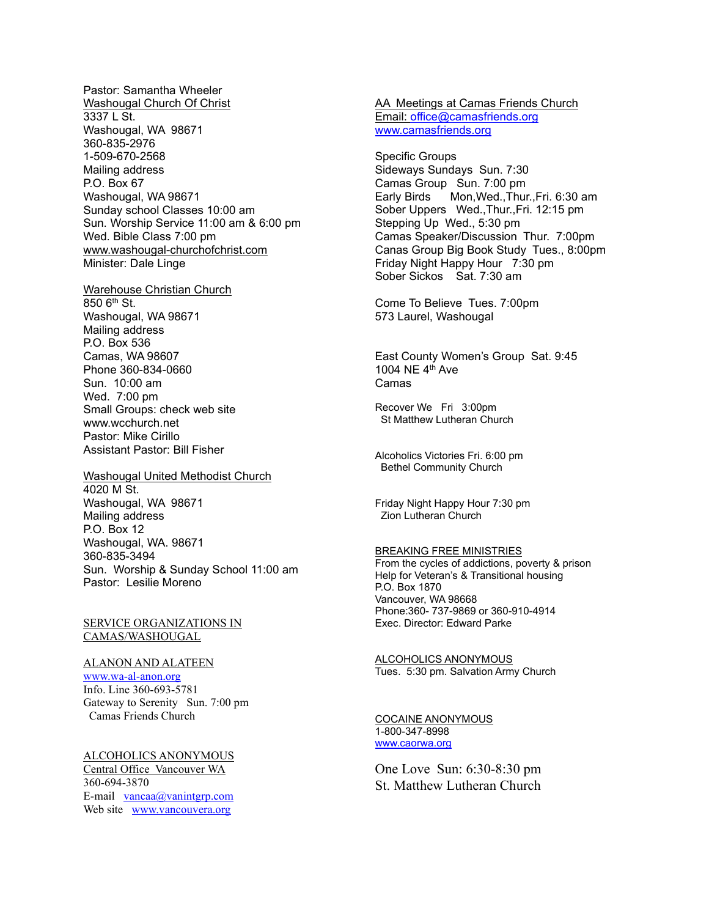Pastor: Samantha Wheeler Washougal Church Of Christ 3337 L St. Washougal, WA 98671 360-835-2976 1-509-670-2568 Mailing address P.O. Box 67 Washougal, WA 98671 Sunday school Classes 10:00 am Sun. Worship Service 11:00 am & 6:00 pm Wed. Bible Class 7:00 pm www.washougal-churchofchrist.com Minister: Dale Linge

Warehouse Christian Church 850 6th St. Washougal, WA 98671 Mailing address P.O. Box 536 Camas, WA 98607 Phone 360-834-0660 Sun. 10:00 am Wed. 7:00 pm Small Groups: check web site www.wcchurch.net Pastor: Mike Cirillo Assistant Pastor: Bill Fisher

Washougal United Methodist Church 4020 M St. Washougal, WA 98671 Mailing address P.O. Box 12 Washougal, WA. 98671 360-835-3494 Sun. Worship & Sunday School 11:00 am Pastor: Lesilie Moreno

SERVICE ORGANIZATIONS IN CAMAS/WASHOUGAL

#### ALANON AND ALATEEN

www.wa-al-anon.org Info. Line 360-693-5781 Gateway to Serenity Sun. 7:00 pm Camas Friends Church

ALCOHOLICS ANONYMOUS Central Office Vancouver WA 360-694-3870 E-mail vancaa@vanintgrp.com Web site [www.vancouvera.org](http://www.vancouvera.org/)

AA Meetings at Camas Friends Church Email: [office@camasfriends.org](mailto:office@camasfriends.org) [www.camasfrien](http://www.camasfriends.org/)ds.org

Specific Groups Sideways Sundays Sun. 7:30 Camas Group Sun. 7:00 pm Mon, Wed., Thur., Fri. 6:30 am Sober Uppers Wed.,Thur.,Fri. 12:15 pm Stepping Up Wed., 5:30 pm Camas Speaker/Discussion Thur. 7:00pm Canas Group Big Book Study Tues., 8:00pm Friday Night Happy Hour 7:30 pm Sober Sickos Sat. 7:30 am

Come To Believe Tues. 7:00pm 573 Laurel, Washougal

East County Women's Group Sat. 9:45 1004 NE  $4<sup>th</sup>$  Ave Camas

Recover We Fri 3:00pm St Matthew Lutheran Church

Alcoholics Victories Fri. 6:00 pm Bethel Community Church

Friday Night Happy Hour 7:30 pm Zion Lutheran Church

#### BREAKING FREE MINISTRIES

From the cycles of addictions, poverty & prison Help for Veteran's & Transitional housing P.O. Box 1870 Vancouver, WA 98668 Phone:360- 737-9869 or 360-910-4914 Exec. Director: Edward Parke

ALCOHOLICS ANONYMOUS Tues. 5:30 pm. Salvation Army Church

COCAINE ANONYMOUS 1-800-347-8998 [www.caorwa.org](http://www.caorwa.org/)

One Love Sun: 6:30-8:30 pm St. Matthew Lutheran Church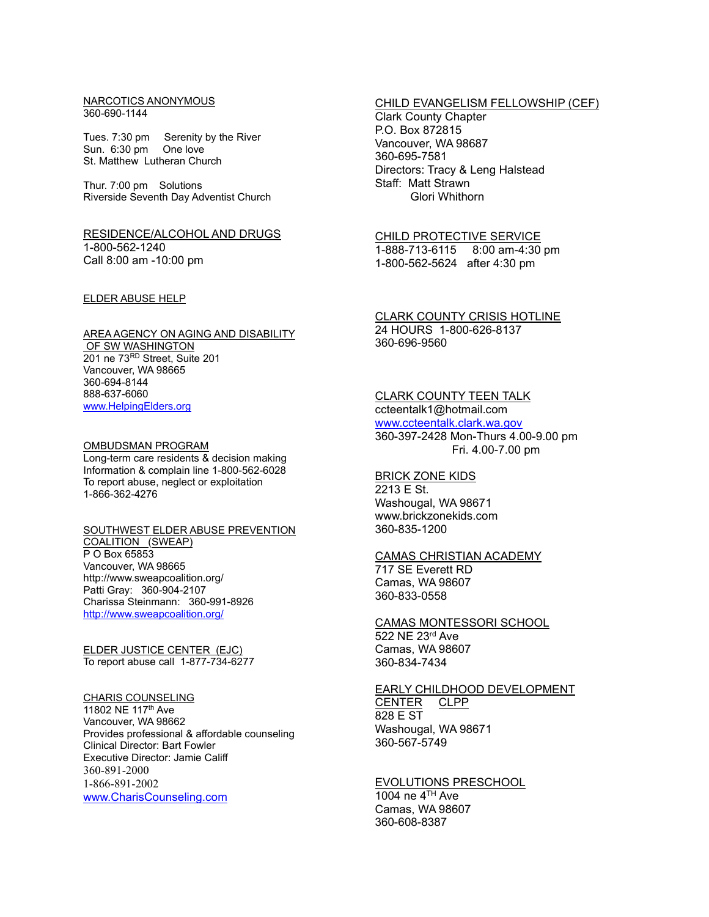#### NARCOTICS ANONYMOUS 360-690-1144

Tues. 7:30 pm Serenity by the River Sun. 6:30 pm One love St. Matthew Lutheran Church

Thur. 7:00 pm Solutions Riverside Seventh Day Adventist Church

### RESIDENCE/ALCOHOL AND DRUGS 1-800-562-1240 Call 8:00 am -10:00 pm

#### ELDER ABUSE HELP

#### AREA AGENCY ON AGING AND DISABILITY

OF SW WASHINGTON 201 ne 73RD Street, Suite 201 Vancouver, WA 98665 360-694-8144 888-637-6060 [www.HelpingElders.org](http://www.helpingelders.org/)

### OMBUDSMAN PROGRAM

Long-term care residents & decision making Information & complain line 1-800-562-6028 To report abuse, neglect or exploitation 1-866-362-4276

# SOUTHWEST ELDER ABUSE PREVENTION

COALITION (SWEAP) P O Box 65853 Vancouver, WA 98665 http://www.sweapcoalition.org/ Patti Gray: 360-904-2107 Charissa Steinmann: 360-991-8926 <http://www.sweapcoalition.org/>

ELDER JUSTICE CENTER (EJC) To report abuse call 1-877-734-6277

#### CHARIS COUNSELING

11802 NE 117th Ave Vancouver, WA 98662 Provides professional & affordable counseling Clinical Director: Bart Fowler Executive Director: Jamie Califf 360-891-2000 1-866-891-2002 [www.CharisCounseling.com](http://www.chariscounseling.com/)

### CHILD EVANGELISM FELLOWSHIP (CEF)

Clark County Chapter P.O. Box 872815 Vancouver, WA 98687 360-695-7581 Directors: Tracy & Leng Halstead Staff: Matt Strawn Glori Whithorn

### CHILD PROTECTIVE SERVICE

1-888-713-6115 8:00 am-4:30 pm 1-800-562-5624 after 4:30 pm

#### CLARK COUNTY CRISIS HOTLINE 24 HOURS 1-800-626-8137 360-696-9560

### CLARK COUNTY TEEN TALK

ccteentalk1@hotmail.com [www.ccteentalk.clark.wa.gov](http://www.ccteentalk.clark.wa.gov/) 360-397-2428 Mon-Thurs 4.00-9.00 pm Fri. 4.00-7.00 pm

# BRICK ZONE KIDS

2213 E St. Washougal, WA 98671 www.brickzonekids.com 360-835-1200

### CAMAS CHRISTIAN ACADEMY 717 SE Everett RD Camas, WA 98607 360-833-0558

CAMAS MONTESSORI SCHOOL 522 NE 23rd Ave Camas, WA 98607 360-834-7434

# EARLY CHILDHOOD DEVELOPMENT

CENTER CLPP 828 E ST Washougal, WA 98671 360-567-5749

EVOLUTIONS PRESCHOOL 1004 ne 4TH Ave Camas, WA 98607 360-608-8387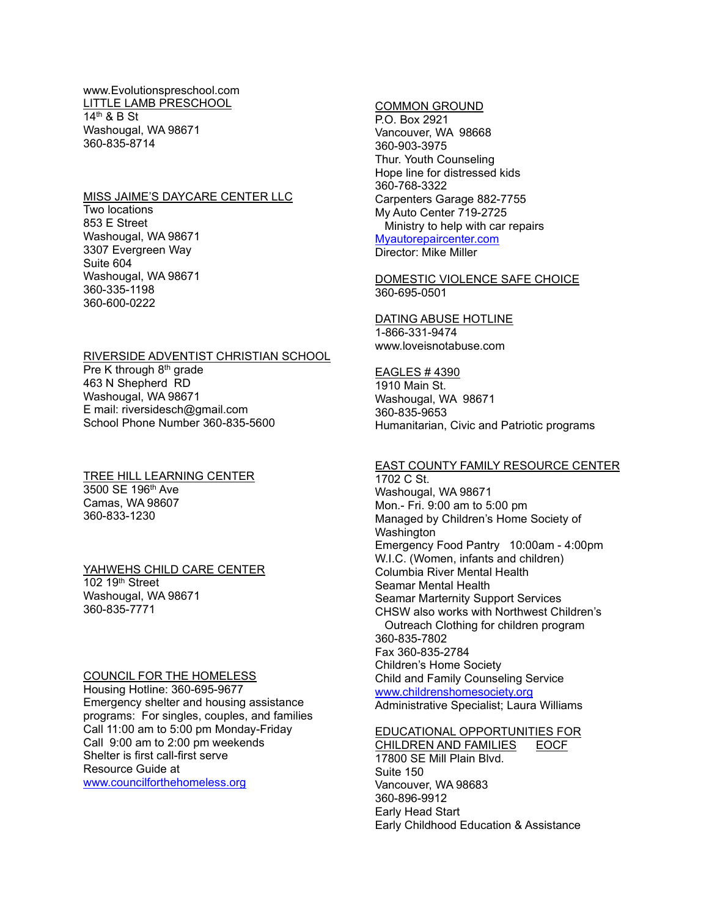www.Evolutionspreschool.com LITTLE LAMB PRESCHOOL 14th & B St Washougal, WA 98671 360-835-8714

#### MISS JAIME'S DAYCARE CENTER LLC

Two locations 853 E Street Washougal, WA 98671 3307 Evergreen Way Suite 604 Washougal, WA 98671 360-335-1198 360-600-0222

### RIVERSIDE ADVENTIST CHRISTIAN SCHOOL

Pre K through 8<sup>th</sup> grade 463 N Shepherd RD Washougal, WA 98671 E mail: riversidesch@gmail.com School Phone Number 360-835-5600

TREE HILL LEARNING CENTER 3500 SE 196th Ave Camas, WA 98607 360-833-1230

### YAHWEHS CHILD CARE CENTER

102 19th Street Washougal, WA 98671 360-835-7771

#### COUNCIL FOR THE HOMELESS

Housing Hotline: 360-695-9677 Emergency shelter and housing assistance programs: For singles, couples, and families Call 11:00 am to 5:00 pm Monday-Friday Call 9:00 am to 2:00 pm weekends Shelter is first call-first serve Resource Guide at [www.councilforthehomeless.org](http://www.councilforthehomeless.org/)

#### COMMON GROUND

P.O. Box 2921 Vancouver, WA 98668 360-903-3975 Thur. Youth Counseling Hope line for distressed kids 360-768-3322 Carpenters Garage 882-7755 My Auto Center 719-2725 Ministry to help with car repairs Myautorepaircenter.com Director: Mike Miller

### DOMESTIC VIOLENCE SAFE CHOICE 360-695-0501

#### DATING ABUSE HOTLINE 1-866-331-9474 www.loveisnotabuse.com

#### EAGLES # 4390

1910 Main St. Washougal, WA 98671 360-835-9653 Humanitarian, Civic and Patriotic programs

# EAST COUNTY FAMILY RESOURCE CENTER

1702 C St. Washougal, WA 98671 Mon.- Fri. 9:00 am to 5:00 pm Managed by Children's Home Society of Washington Emergency Food Pantry 10:00am - 4:00pm W.I.C. (Women, infants and children) Columbia River Mental Health Seamar Mental Health Seamar Marternity Support Services CHSW also works with Northwest Children's Outreach Clothing for children program 360-835-7802 Fax 360-835-2784 Children's Home Society Child and Family Counseling Service [www.childrenshomesociety.org](http://www.childrenshomesociety.org/) Administrative Specialist; Laura Williams

### EDUCATIONAL OPPORTUNITIES FOR CHILDREN AND FAMILIES EOCF 17800 SE Mill Plain Blvd. Suite 150 Vancouver, WA 98683 360-896-9912 Early Head Start Early Childhood Education & Assistance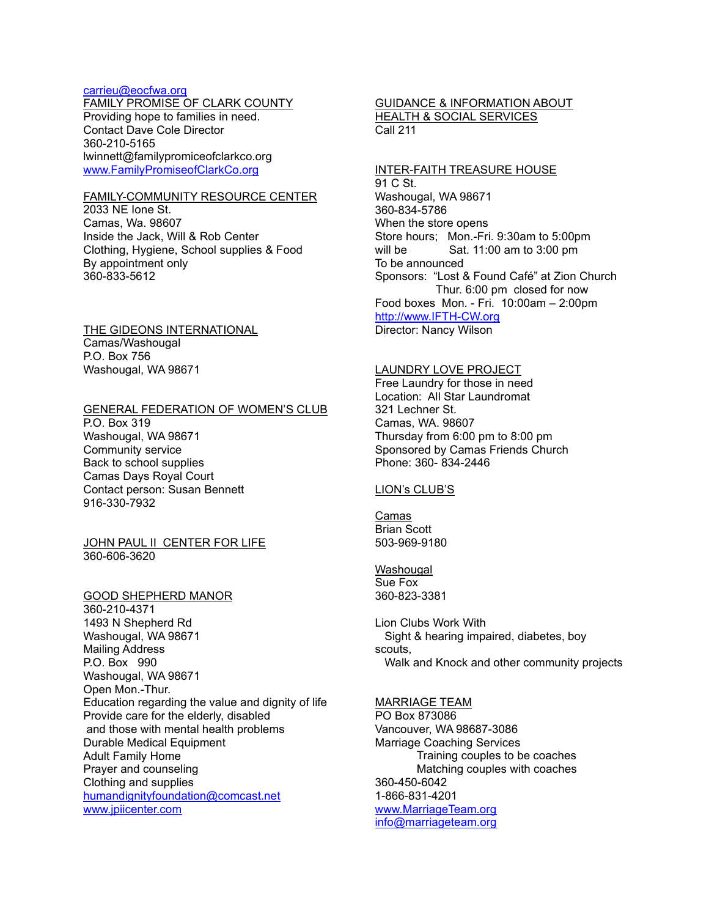### [carrieu@eocfwa.org](mailto:carrieu@eocfwa.org)

FAMILY PROMISE OF CLARK COUNTY Providing hope to families in need. Contact Dave Cole Director 360-210-5165 lwinnett@familypromiceofclarkco.org [www.FamilyPromiseofClarkCo.org](http://www.familypromiseofclarkco.org/)

### FAMILY-COMMUNITY RESOURCE CENTER

2033 NE Ione St. Camas, Wa. 98607 Inside the Jack, Will & Rob Center Clothing, Hygiene, School supplies & Food By appointment only 360-833-5612

THE GIDEONS INTERNATIONAL Camas/Washougal P.O. Box 756 Washougal, WA 98671

#### GENERAL FEDERATION OF WOMEN'S CLUB

P.O. Box 319 Washougal, WA 98671 Community service Back to school supplies Camas Days Royal Court Contact person: Susan Bennett 916-330-7932

### JOHN PAUL II CENTER FOR LIFE 360-606-3620

GOOD SHEPHERD MANOR 360-210-4371 1493 N Shepherd Rd Washougal, WA 98671 Mailing Address P.O. Box 990 Washougal, WA 98671 Open Mon.-Thur. Education regarding the value and dignity of life Provide care for the elderly, disabled and those with mental health problems Durable Medical Equipment Adult Family Home Prayer and counseling Clothing and supplies humandignityfoundation@comcast.net www.jpiicenter.com

### GUIDANCE & INFORMATION ABOUT HEALTH & SOCIAL SERVICES Call 211

### INTER-FAITH TREASURE HOUSE

91 C St. Washougal, WA 98671 360-834-5786 When the store opens Store hours; Mon.-Fri. 9:30am to 5:00pm will be Sat. 11:00 am to 3:00 pm To be announced Sponsors: "Lost & Found Café" at Zion Church Thur. 6:00 pm closed for now Food boxes Mon. - Fri. 10:00am – 2:00pm [http://www.IFTH-CW.org](http://www.ifth-cw.org/) Director: Nancy Wilson

### LAUNDRY LOVE PROJECT

Free Laundry for those in need Location: All Star Laundromat 321 Lechner St. Camas, WA. 98607 Thursday from 6:00 pm to 8:00 pm Sponsored by Camas Friends Church Phone: 360- 834-2446

### LION's CLUB'S

Camas Brian Scott 503-969-9180

Washougal Sue Fox 360-823-3381

Lion Clubs Work With Sight & hearing impaired, diabetes, boy scouts, Walk and Knock and other community projects

# MARRIAGE TEAM

PO Box 873086 Vancouver, WA 98687-3086 Marriage Coaching Services Training couples to be coaches Matching couples with coaches 360-450-6042 1-866-831-4201 [www.MarriageTeam.org](http://www.marriageteam.org/) info@marriageteam.org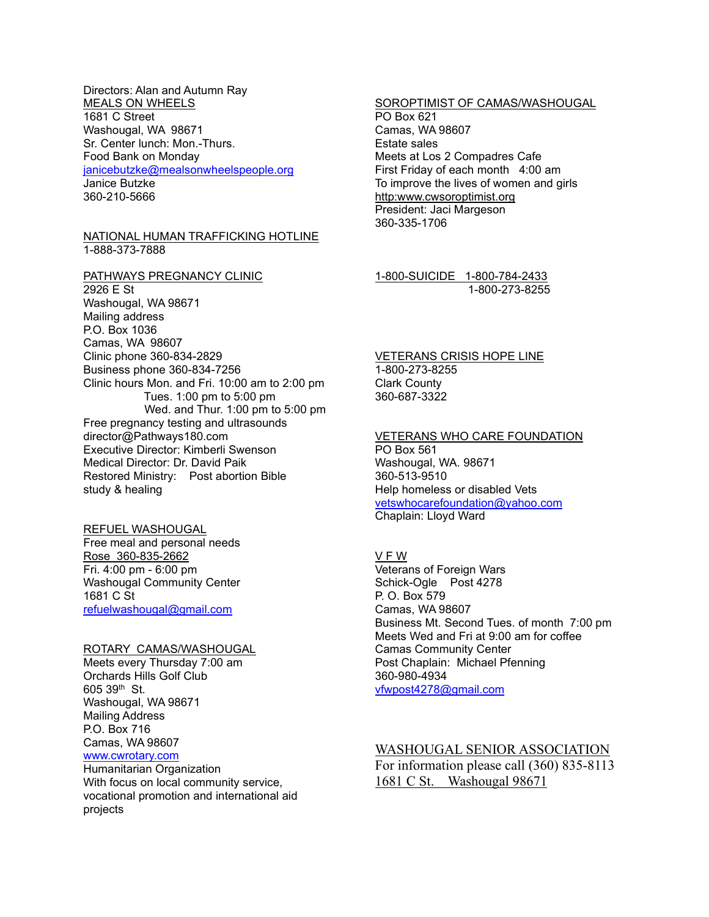### Directors: Alan and Autumn Ray MEALS ON WHEELS 1681 C Street Washougal, WA 98671 Sr. Center lunch: Mon.-Thurs. Food Bank on Monday janicebutzke@mealsonwheelspeople.org Janice Butzke 360-210-5666

#### NATIONAL HUMAN TRAFFICKING HOTLINE 1-888-373-7888

PATHWAYS PREGNANCY CLINIC 2926 E St Washougal, WA 98671 Mailing address P.O. Box 1036 Camas, WA 98607 Clinic phone 360-834-2829 Business phone 360-834-7256 Clinic hours Mon. and Fri. 10:00 am to 2:00 pm Tues. 1:00 pm to 5:00 pm Wed. and Thur. 1:00 pm to 5:00 pm Free pregnancy testing and ultrasounds director@Pathways180.com Executive Director: Kimberli Swenson Medical Director: Dr. David Paik Restored Ministry: Post abortion Bible study & healing

# REFUEL WASHOUGAL

Free meal and personal needs Rose 360-835-2662 Fri. 4:00 pm - 6:00 pm Washougal Community Center 1681 C St [refuelwashougal@gmail.com](mailto:refuelwashougal@gmail.com)

### ROTARY CAMAS/WASHOUGAL

Meets every Thursday 7:00 am Orchards Hills Golf Club 605 39th St. Washougal, WA 98671 Mailing Address P.O. Box 716 Camas, WA 98607 www.cwrotary.com

Humanitarian Organization With focus on local community service, vocational promotion and international aid projects

#### SOROPTIMIST OF CAMAS/WASHOUGAL PO Box 621 Camas, WA 98607

Estate sales Meets at Los 2 Compadres Cafe First Friday of each month 4:00 am To improve the lives of women and girls http:www.cwsoroptimist.org President: Jaci Margeson 360-335-1706

### 1-800-SUICIDE 1-800-784-2433 1-800-273-8255

### VETERANS CRISIS HOPE LINE 1-800-273-8255 Clark County 360-687-3322

VETERANS WHO CARE FOUNDATION PO Box 561 Washougal, WA. 98671 360-513-9510 Help homeless or disabled Vets vetswhocarefoundation@yahoo.com

Chaplain: Lloyd Ward

#### V F W

Veterans of Foreign Wars Schick-Ogle Post 4278 P. O. Box 579 Camas, WA 98607 Business Mt. Second Tues. of month 7:00 pm Meets Wed and Fri at 9:00 am for coffee Camas Community Center Post Chaplain: Michael Pfenning 360-980-4934 [vfwpost4278@gmail.com](mailto:vfwpost4278@gmail.com)

## WASHOUGAL SENIOR ASSOCIATION

For information please call (360) 835-8113 1681 C St. Washougal 98671